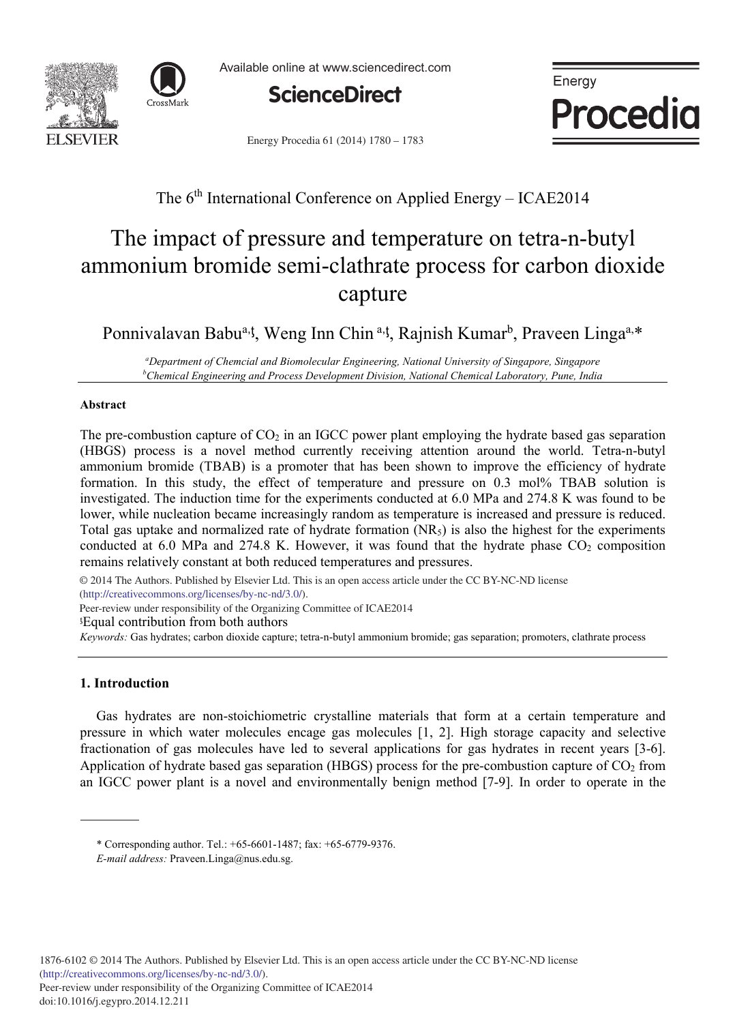



Available online at www.sciencedirect.com



Energy Procedia

Energy Procedia 61 (2014) 1780 - 1783

# The 6<sup>th</sup> International Conference on Applied Energy – ICAE2014

# The impact of pressure and temperature on tetra-n-butyl ammonium bromide semi-clathrate process for carbon dioxide capture

Ponnivalavan Babu<sup>a, t</sup>, Weng Inn Chin<sup>a, t</sup>, Rajnish Kumar<sup>b</sup>, Praveen Linga<sup>a,\*</sup>

*<sup>a</sup>Department of Chemcial and Biomolecular Engineering, National University of Singapore, Singapore <sup>b</sup>Chemical Engineering and Process Development Division, National Chemical Laboratory, Pune, India* 

### **Abstract**

The pre-combustion capture of  $CO<sub>2</sub>$  in an IGCC power plant employing the hydrate based gas separation (HBGS) process is a novel method currently receiving attention around the world. Tetra-n-butyl ammonium bromide (TBAB) is a promoter that has been shown to improve the efficiency of hydrate formation. In this study, the effect of temperature and pressure on 0.3 mol% TBAB solution is investigated. The induction time for the experiments conducted at 6.0 MPa and 274.8 K was found to be lower, while nucleation became increasingly random as temperature is increased and pressure is reduced. Total gas uptake and normalized rate of hydrate formation  $(NR<sub>5</sub>)$  is also the highest for the experiments conducted at  $6.0$  MPa and  $274.8$  K. However, it was found that the hydrate phase  $CO<sub>2</sub>$  composition remains relatively constant at both reduced temperatures and pressures.

(http://creativecommons.org/licenses/by-nc-nd/3.0/). Peer-review under responsibility of the Organizing Committee of ICAE2014 © 2014 The Authors. Published by Elsevier Ltd. This is an open access article under the CC BY-NC-ND license

ಸEqual contribution from both authors

*Keywords:* Gas hydrates; carbon dioxide capture; tetra-n-butyl ammonium bromide; gas separation; promoters, clathrate process

## **1. Introduction**

Gas hydrates are non-stoichiometric crystalline materials that form at a certain temperature and pressure in which water molecules encage gas molecules [1, 2]. High storage capacity and selective fractionation of gas molecules have led to several applications for gas hydrates in recent years [3-6]. Application of hydrate based gas separation (HBGS) process for the pre-combustion capture of  $CO<sub>2</sub>$  from an IGCC power plant is a novel and environmentally benign method [7-9]. In order to operate in the

<sup>\*</sup> Corresponding author. Tel.: +65-6601-1487; fax: +65-6779-9376.

*E-mail address:* Praveen.Linga@nus.edu.sg.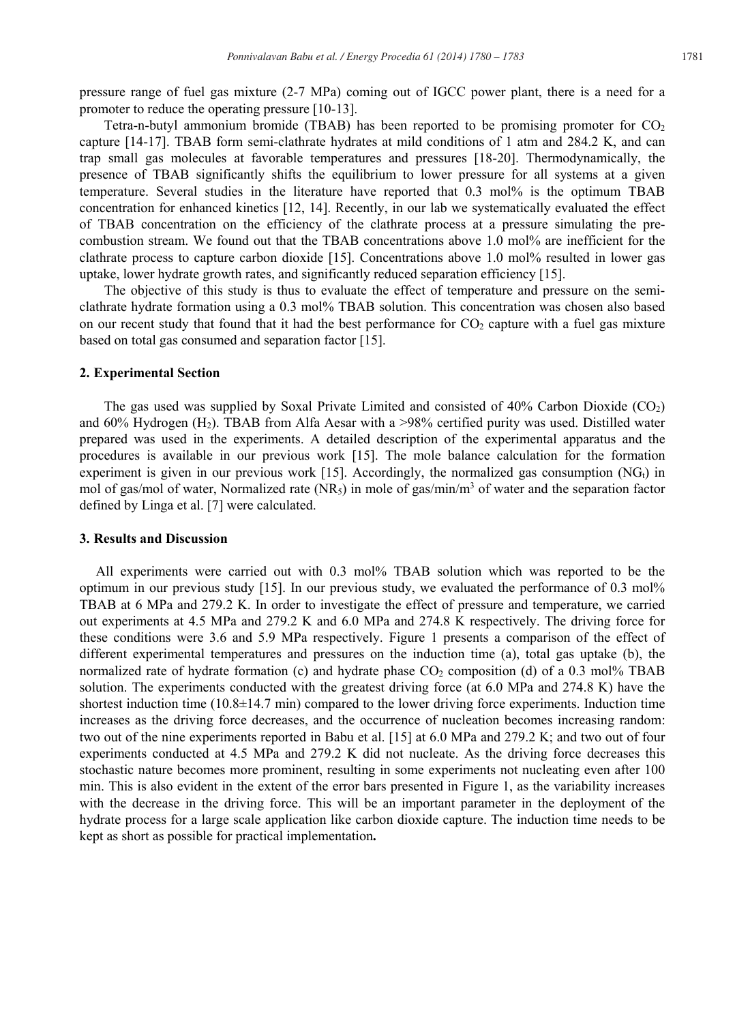pressure range of fuel gas mixture (2-7 MPa) coming out of IGCC power plant, there is a need for a promoter to reduce the operating pressure [10-13].

Tetra-n-butyl ammonium bromide (TBAB) has been reported to be promising promoter for  $CO<sub>2</sub>$ capture [14-17]. TBAB form semi-clathrate hydrates at mild conditions of 1 atm and 284.2 K, and can trap small gas molecules at favorable temperatures and pressures [18-20]. Thermodynamically, the presence of TBAB significantly shifts the equilibrium to lower pressure for all systems at a given temperature. Several studies in the literature have reported that 0.3 mol% is the optimum TBAB concentration for enhanced kinetics [12, 14]. Recently, in our lab we systematically evaluated the effect of TBAB concentration on the efficiency of the clathrate process at a pressure simulating the precombustion stream. We found out that the TBAB concentrations above 1.0 mol% are inefficient for the clathrate process to capture carbon dioxide [15]. Concentrations above 1.0 mol% resulted in lower gas uptake, lower hydrate growth rates, and significantly reduced separation efficiency [15].

The objective of this study is thus to evaluate the effect of temperature and pressure on the semiclathrate hydrate formation using a 0.3 mol% TBAB solution. This concentration was chosen also based on our recent study that found that it had the best performance for  $CO<sub>2</sub>$  capture with a fuel gas mixture based on total gas consumed and separation factor [15].

#### **2. Experimental Section**

The gas used was supplied by Soxal Private Limited and consisted of 40% Carbon Dioxide (CO2) and 60% Hydrogen (H2). TBAB from Alfa Aesar with a >98% certified purity was used. Distilled water prepared was used in the experiments. A detailed description of the experimental apparatus and the procedures is available in our previous work [15]. The mole balance calculation for the formation experiment is given in our previous work [15]. Accordingly, the normalized gas consumption  $(NG_t)$  in mol of gas/mol of water, Normalized rate  $(NR_5)$  in mole of gas/min/m<sup>3</sup> of water and the separation factor defined by Linga et al. [7] were calculated.

#### **3. Results and Discussion**

All experiments were carried out with 0.3 mol% TBAB solution which was reported to be the optimum in our previous study [15]. In our previous study, we evaluated the performance of 0.3 mol% TBAB at 6 MPa and 279.2 K. In order to investigate the effect of pressure and temperature, we carried out experiments at 4.5 MPa and 279.2 K and 6.0 MPa and 274.8 K respectively. The driving force for these conditions were 3.6 and 5.9 MPa respectively. Figure 1 presents a comparison of the effect of different experimental temperatures and pressures on the induction time (a), total gas uptake (b), the normalized rate of hydrate formation (c) and hydrate phase  $CO<sub>2</sub>$  composition (d) of a 0.3 mol% TBAB solution. The experiments conducted with the greatest driving force (at 6.0 MPa and 274.8 K) have the shortest induction time  $(10.8\pm14.7 \text{ min})$  compared to the lower driving force experiments. Induction time increases as the driving force decreases, and the occurrence of nucleation becomes increasing random: two out of the nine experiments reported in Babu et al. [15] at 6.0 MPa and 279.2 K; and two out of four experiments conducted at 4.5 MPa and 279.2 K did not nucleate. As the driving force decreases this stochastic nature becomes more prominent, resulting in some experiments not nucleating even after 100 min. This is also evident in the extent of the error bars presented in Figure 1, as the variability increases with the decrease in the driving force. This will be an important parameter in the deployment of the hydrate process for a large scale application like carbon dioxide capture. The induction time needs to be kept as short as possible for practical implementation**.**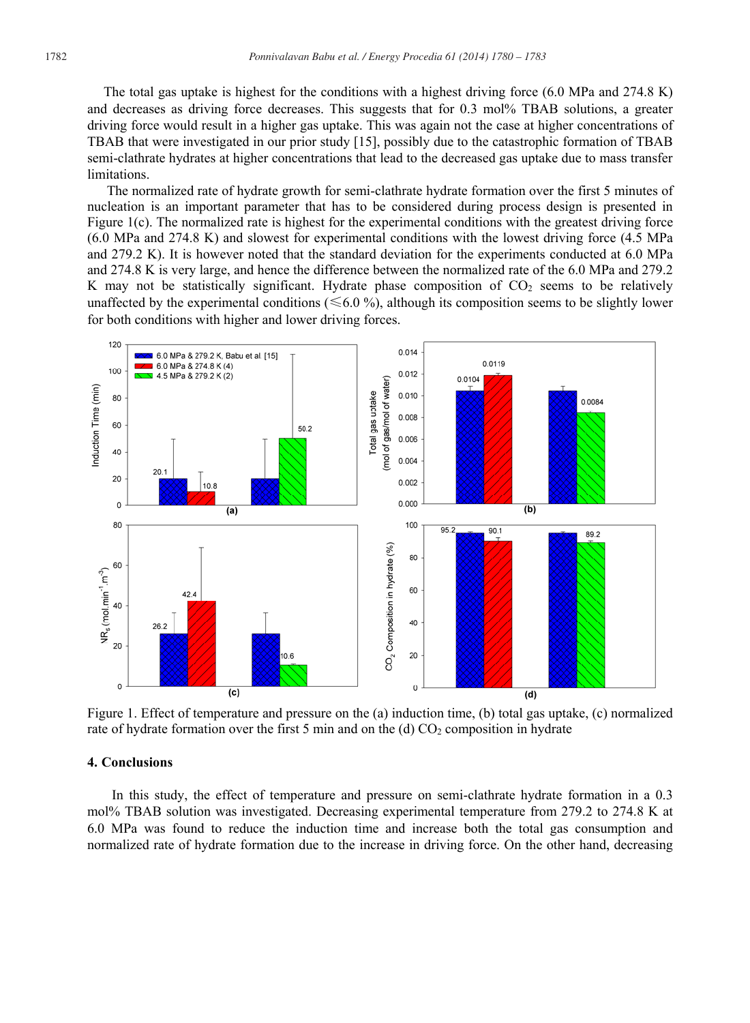The total gas uptake is highest for the conditions with a highest driving force (6.0 MPa and 274.8 K) and decreases as driving force decreases. This suggests that for 0.3 mol% TBAB solutions, a greater driving force would result in a higher gas uptake. This was again not the case at higher concentrations of TBAB that were investigated in our prior study [15], possibly due to the catastrophic formation of TBAB semi-clathrate hydrates at higher concentrations that lead to the decreased gas uptake due to mass transfer limitations.

The normalized rate of hydrate growth for semi-clathrate hydrate formation over the first 5 minutes of nucleation is an important parameter that has to be considered during process design is presented in Figure  $1(c)$ . The normalized rate is highest for the experimental conditions with the greatest driving force (6.0 MPa and 274.8 K) and slowest for experimental conditions with the lowest driving force (4.5 MPa and 279.2 K). It is however noted that the standard deviation for the experiments conducted at 6.0 MPa and 274.8 K is very large, and hence the difference between the normalized rate of the 6.0 MPa and 279.2 K may not be statistically significant. Hydrate phase composition of CO<sub>2</sub> seems to be relatively unaffected by the experimental conditions ( $\leq 6.0$ %), although its composition seems to be slightly lower for both conditions with higher and lower driving forces.



Figure 1. Effect of temperature and pressure on the (a) induction time, (b) total gas uptake, (c) normalized rate of hydrate formation over the first 5 min and on the (d)  $CO<sub>2</sub>$  composition in hydrate

#### **4. Conclusions**

In this study, the effect of temperature and pressure on semi-clathrate hydrate formation in a 0.3 mol% TBAB solution was investigated. Decreasing experimental temperature from 279.2 to 274.8 K at 6.0 MPa was found to reduce the induction time and increase both the total gas consumption and normalized rate of hydrate formation due to the increase in driving force. On the other hand, decreasing